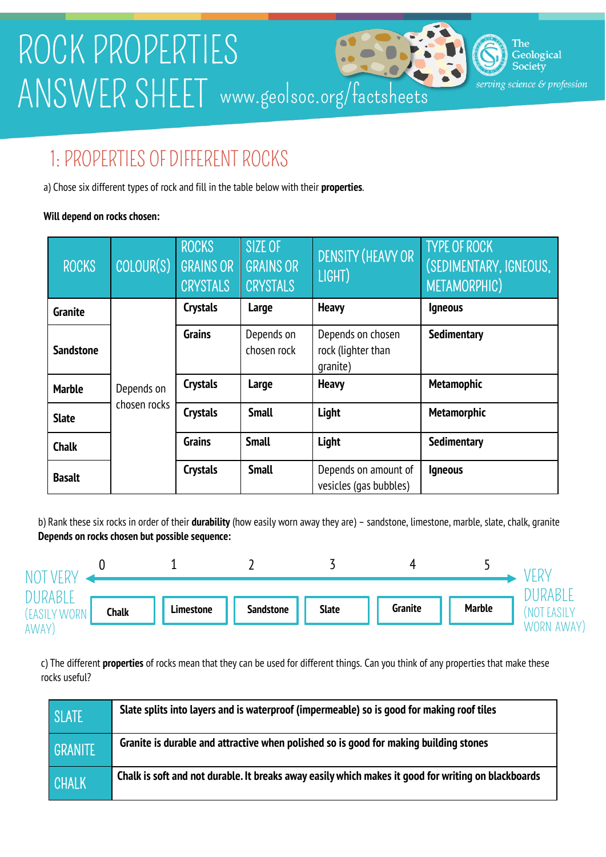

### 1: PROPERTIES OF DIFFERENT ROCKS

a) Chose six different types of rock and fill in the table below with their **properties**.

#### **Will depend on rocks chosen:**

| <b>ROCKS</b>     | COLOUR(S)                  | <b>ROCKS</b><br><b>GRAINS OR</b><br><b>CRYSTALS</b> | SIZE OF<br><b>GRAINS OR</b><br><b>CRYSTALS</b> | DENSITY (HEAVY OR<br>LIGHT)                         | <b>TYPE OF ROCK</b><br>(SEDIMENTARY, IGNEOUS,<br>METAMORPHIC) |  |
|------------------|----------------------------|-----------------------------------------------------|------------------------------------------------|-----------------------------------------------------|---------------------------------------------------------------|--|
| <b>Granite</b>   |                            | <b>Crystals</b>                                     | Large                                          | <b>Heavy</b>                                        | <b>Igneous</b>                                                |  |
| <b>Sandstone</b> |                            | <b>Grains</b>                                       | Depends on<br>chosen rock                      | Depends on chosen<br>rock (lighter than<br>qranite) | Sedimentary                                                   |  |
| <b>Marble</b>    | Depends on<br>chosen rocks | <b>Crystals</b>                                     | Large                                          | <b>Heavy</b>                                        | <b>Metamophic</b>                                             |  |
| <b>Slate</b>     |                            | <b>Crystals</b>                                     | <b>Small</b>                                   | Light                                               | <b>Metamorphic</b>                                            |  |
| <b>Chalk</b>     |                            | <b>Grains</b>                                       | <b>Small</b>                                   | Light                                               | <b>Sedimentary</b>                                            |  |
| <b>Basalt</b>    |                            | <b>Crystals</b>                                     | <b>Small</b>                                   | Depends on amount of<br>vesicles (gas bubbles)      | <b>Igneous</b>                                                |  |

b) Rank these six rocks in order of their **durability** (how easily worn away they are) – sandstone, limestone, marble, slate, chalk, granite **Depends on rocks chosen but possible sequence:**

| NIC.              |              |           |                  |              |                |               |                            |
|-------------------|--------------|-----------|------------------|--------------|----------------|---------------|----------------------------|
| <b>'IKABLL</b>    |              |           |                  |              |                |               | `)UKABLE                   |
| (EASILY WORN      | <b>Chalk</b> | Limestone | <b>Sandstone</b> | <b>Slate</b> | <b>Granite</b> | <b>Marble</b> | <b>NOT</b><br><b>EASIL</b> |
| AWAY <sup>'</sup> |              |           |                  |              |                |               | AWAY)<br>WORN              |

c) The different **properties** of rocks mean that they can be used for different things. Can you think of any properties that make these rocks useful?

| <b>SLATE</b> | Slate splits into layers and is waterproof (impermeable) so is good for making roof tiles           |
|--------------|-----------------------------------------------------------------------------------------------------|
| GRANITE      | Granite is durable and attractive when polished so is good for making building stones               |
| CHALK        | Chalk is soft and not durable. It breaks away easily which makes it good for writing on blackboards |